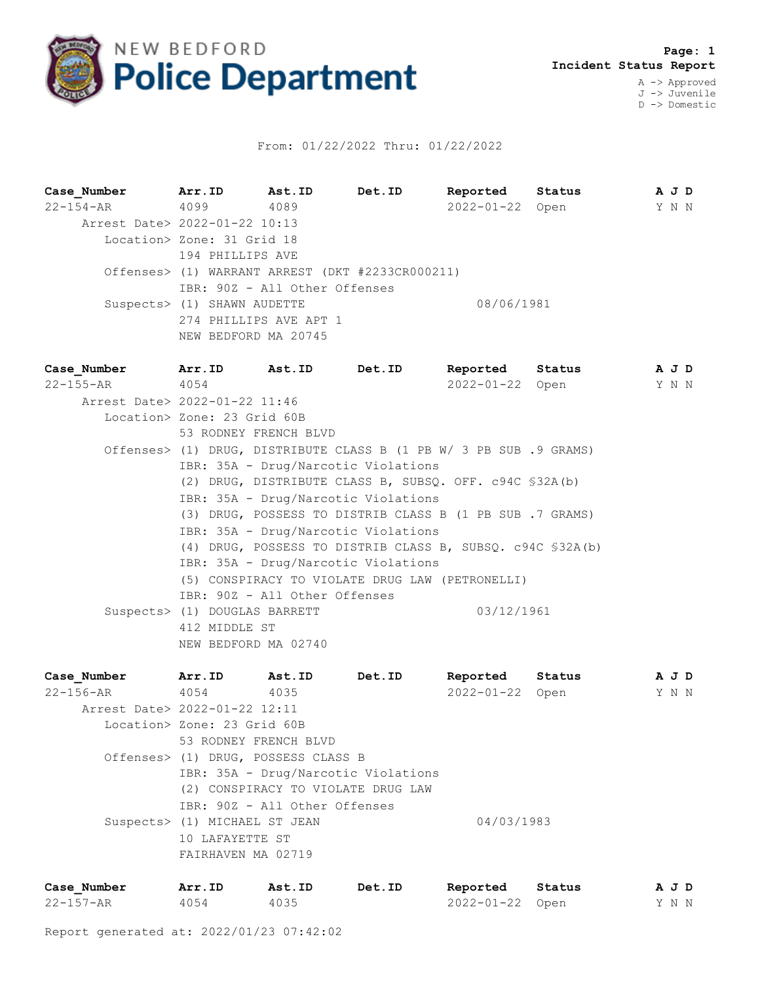

## From: 01/22/2022 Thru: 01/22/2022

**Case\_Number Arr.ID Ast.ID Det.ID Reported Status A J D** 22-154-AR 4099 4089 2022-01-22 Open Y N N Arrest Date> 2022-01-22 10:13 Location> Zone: 31 Grid 18 194 PHILLIPS AVE Offenses> (1) WARRANT ARREST (DKT #2233CR000211) IBR: 90Z - All Other Offenses Suspects> (1) SHAWN AUDETTE 08/06/1981 274 PHILLIPS AVE APT 1 NEW BEDFORD MA 20745

| Case Number Arr. ID Ast. ID   |                               |                               | <b>Det.ID</b>                                                      | Reported Status | AJD   |  |
|-------------------------------|-------------------------------|-------------------------------|--------------------------------------------------------------------|-----------------|-------|--|
| $22 - 155 - AR$ 4054          |                               |                               |                                                                    | 2022-01-22 Open | Y N N |  |
| Arrest Date> 2022-01-22 11:46 |                               |                               |                                                                    |                 |       |  |
|                               | Location> Zone: 23 Grid 60B   |                               |                                                                    |                 |       |  |
|                               | 53 RODNEY FRENCH BLVD         |                               |                                                                    |                 |       |  |
|                               |                               |                               | Offenses> (1) DRUG, DISTRIBUTE CLASS B (1 PB W/ 3 PB SUB .9 GRAMS) |                 |       |  |
|                               |                               |                               | IBR: 35A - Drug/Narcotic Violations                                |                 |       |  |
|                               |                               |                               | (2) DRUG, DISTRIBUTE CLASS B, SUBSQ. OFF. c94C \$32A(b)            |                 |       |  |
|                               |                               |                               | IBR: 35A - Drug/Narcotic Violations                                |                 |       |  |
|                               |                               |                               | (3) DRUG, POSSESS TO DISTRIB CLASS B (1 PB SUB.7 GRAMS)            |                 |       |  |
|                               |                               |                               | IBR: 35A - Drug/Narcotic Violations                                |                 |       |  |
|                               |                               |                               | (4) DRUG, POSSESS TO DISTRIB CLASS B, SUBSQ. c94C \$32A(b)         |                 |       |  |
|                               |                               |                               | IBR: 35A - Drug/Narcotic Violations                                |                 |       |  |
|                               |                               |                               | (5) CONSPIRACY TO VIOLATE DRUG LAW (PETRONELLI)                    |                 |       |  |
|                               |                               | IBR: 90Z - All Other Offenses |                                                                    |                 |       |  |
|                               | Suspects> (1) DOUGLAS BARRETT |                               |                                                                    | 03/12/1961      |       |  |
|                               | 412 MIDDLE ST                 |                               |                                                                    |                 |       |  |
|                               | NEW BEDFORD MA 02740          |                               |                                                                    |                 |       |  |

| Case Number                   | Arr.ID                        | Ast.ID                              | Det.ID                              | Reported        | Status | A J D |  |
|-------------------------------|-------------------------------|-------------------------------------|-------------------------------------|-----------------|--------|-------|--|
| 22-156-AR                     | 4054                          | 4035                                |                                     | 2022-01-22 Open |        | Y N N |  |
| Arrest Date> 2022-01-22 12:11 |                               |                                     |                                     |                 |        |       |  |
|                               | Location> Zone: 23 Grid 60B   |                                     |                                     |                 |        |       |  |
|                               |                               | 53 RODNEY FRENCH BLVD               |                                     |                 |        |       |  |
|                               |                               | Offenses> (1) DRUG, POSSESS CLASS B |                                     |                 |        |       |  |
|                               |                               |                                     | IBR: 35A - Drug/Narcotic Violations |                 |        |       |  |
|                               |                               |                                     | (2) CONSPIRACY TO VIOLATE DRUG LAW  |                 |        |       |  |
|                               |                               | IBR: 90Z - All Other Offenses       |                                     |                 |        |       |  |
|                               | Suspects> (1) MICHAEL ST JEAN |                                     |                                     | 04/03/1983      |        |       |  |
|                               | 10 LAFAYETTE ST               |                                     |                                     |                 |        |       |  |
|                               | FAIRHAVEN MA 02719            |                                     |                                     |                 |        |       |  |
|                               |                               |                                     |                                     |                 |        |       |  |

| Case Number     | Arr.ID | Ast.ID | Det.ID | Reported Status | A J D |  |  |
|-----------------|--------|--------|--------|-----------------|-------|--|--|
| $22 - 157 - AR$ | 4054   | 4035   |        | 2022-01-22 Open | Y N N |  |  |